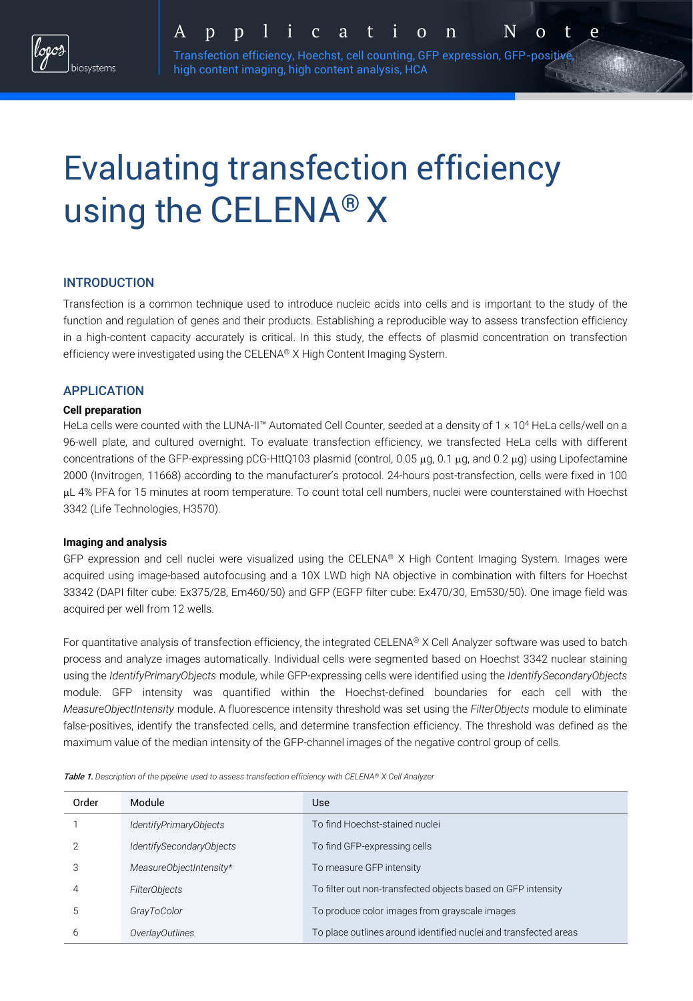

A p p l i c a t i o n N o t e

Transfection efficiency, Hoechst, cell counting, GFP expression, GFP-positive, high content imaging, high content analysis, HCA

# Evaluating transfection efficiency using the CELENA® X

## INTRODUCTION

Transfection is a common technique used to introduce nucleic acids into cells and is important to the study of the function and regulation of genes and their products. Establishing a reproducible way to assess transfection efficiency in a high-content capacity accurately is critical. In this study, the effects of plasmid concentration on transfection efficiency were investigated using the CELENA® X High Content Imaging System.

## APPLICATION

#### **Cell preparation**

HeLa cells were counted with the LUNA-II™ Automated Cell Counter, seeded at a density of 1 x 10<sup>4</sup> HeLa cells/well on a 96-well plate, and cultured overnight. To evaluate transfection efficiency, we transfected HeLa cells with different concentrations of the GFP-expressing pCG-HttQ103 plasmid (control, 0.05  $\mu$ g, 0.1  $\mu$ g, and 0.2  $\mu$ g) using Lipofectamine 2000 (Invitrogen, 11668) according to the manufacturer's protocol. 24-hours post-transfection, cells were fixed in 100 L 4% PFA for 15 minutes at room temperature. To count total cell numbers, nuclei were counterstained with Hoechst 3342 (Life Technologies, H3570).

#### **Imaging and analysis**

GFP expression and cell nuclei were visualized using the CELENA® X High Content Imaging System. Images were acquired using image-based autofocusing and a 10X LWD high NA objective in combination with filters for Hoechst 33342 (DAPI filter cube: Ex375/28, Em460/50) and GFP (EGFP filter cube: Ex470/30, Em530/50). One image field was acquired per well from 12 wells.

For quantitative analysis of transfection efficiency, the integrated CELENA® X Cell Analyzer software was used to batch process and analyze images automatically. Individual cells were segmented based on Hoechst 3342 nuclear staining using the *IdentifyPrimaryObjects* module, while GFP-expressing cells were identified using the *IdentifySecondaryObjects* module. GFP intensity was quantified within the Hoechst-defined boundaries for each cell with the *MeasureObjectIntensity* module. A fluorescence intensity threshold was set using the *FilterObjects* module to eliminate false-positives, identify the transfected cells, and determine transfection efficiency. The threshold was defined as the maximum value of the median intensity of the GFP-channel images of the negative control group of cells.

Order Module Use *IdentifyPrimaryObjects* To find Hoechst-stained nuclei *IdentifySecondaryObjects* To find GFP-expressing cells *MeasureObjectIntensity\** To measure GFP intensity *FilterObjects* To filter out non-transfected objects based on GFP intensity *GrayToColor* To produce color images from grayscale images *OverlayOutlines* To place outlines around identified nuclei and transfected areas

Table 1. *Description of the pipeline used to assess transfection efficiency with CELENA® X Cell Analyzer*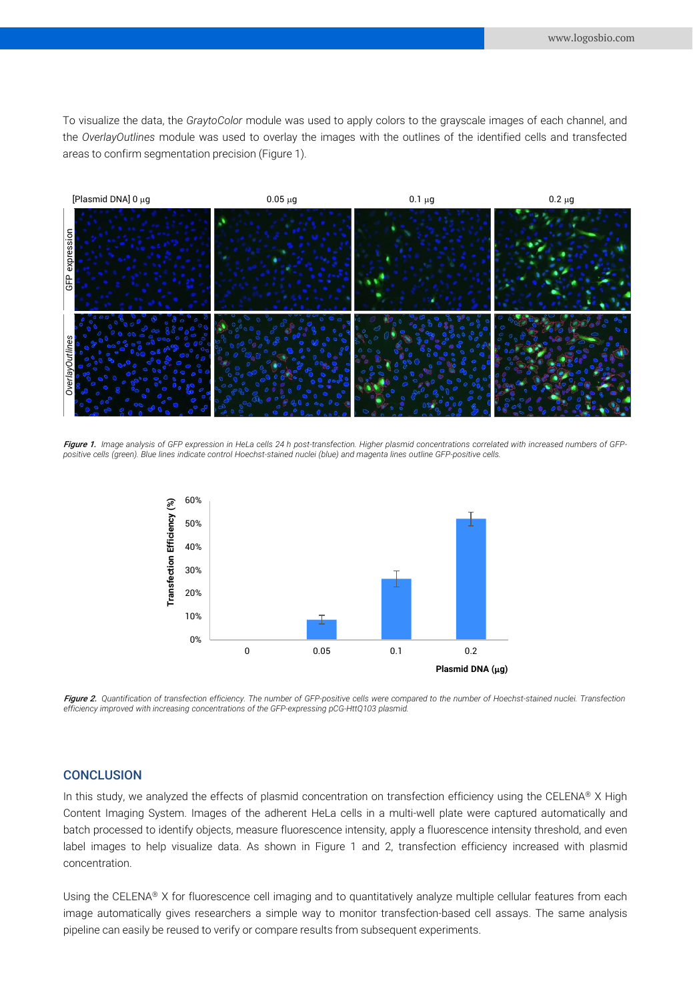To visualize the data, the *GraytoColor* module was used to apply colors to the grayscale images of each channel, and the *OverlayOutlines* module was used to overlay the images with the outlines of the identified cells and transfected areas to confirm segmentation precision (Figure 1).



Figure 1. Image analysis of GFP expression in HeLa cells 24 h post-transfection. Higher plasmid concentrations correlated with increased numbers of GFPpositive cells (green). Blue lines indicate control Hoechst-stained nuclei (blue) and magenta lines outline GFP-positive cells.



Figure 2. Quantification of transfection efficiency. The number of GFP-positive cells were compared to the number of Hoechst-stained nuclei. Transfection *efficiency improved with increasing concentrations of the GFP-expressing pCG-HttQ103 plasmid.*

### **CONCLUSION**

In this study, we analyzed the effects of plasmid concentration on transfection efficiency using the CELENA® X High Content Imaging System. Images of the adherent HeLa cells in a multi-well plate were captured automatically and batch processed to identify objects, measure fluorescence intensity, apply a fluorescence intensity threshold, and even label images to help visualize data. As shown in Figure 1 and 2, transfection efficiency increased with plasmid concentration.

Using the CELENA® X for fluorescence cell imaging and to quantitatively analyze multiple cellular features from each image automatically gives researchers a simple way to monitor transfection-based cell assays. The same analysis pipeline can easily be reused to verify or compare results from subsequent experiments.